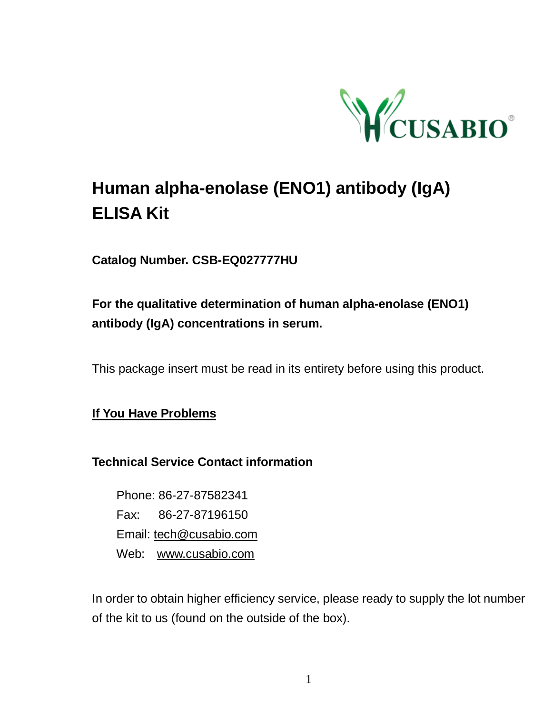

# **Human alpha-enolase (ENO1) antibody (IgA) ELISA Kit**

**Catalog Number. CSB-EQ027777HU**

# **For the qualitative determination of human alpha-enolase (ENO1) antibody (IgA) concentrations in serum.**

This package insert must be read in its entirety before using this product.

**If You Have Problems**

**Technical Service Contact information**

Phone: 86-27-87582341 Fax: 86-27-87196150 Email: [tech@cusabio.com](mailto:tech@cusabio.com) Web: [www.cusabio.com](http://www.cusabio.com/)

In order to obtain higher efficiency service, please ready to supply the lot number of the kit to us (found on the outside of the box).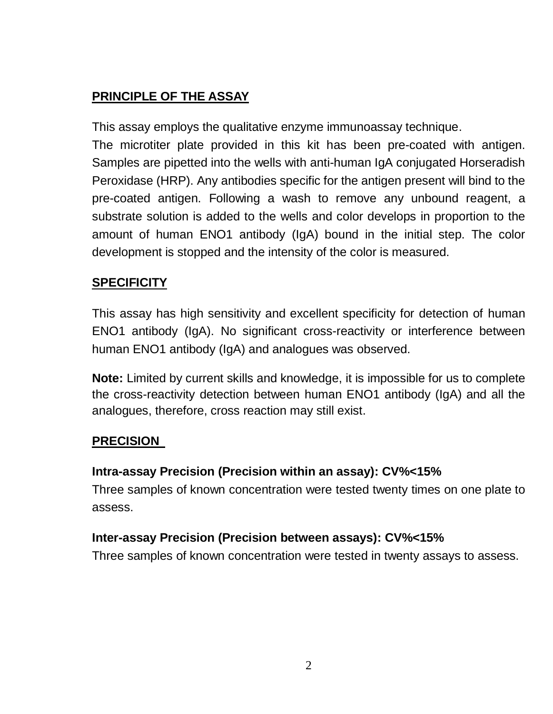# **PRINCIPLE OF THE ASSAY**

This assay employs the qualitative enzyme immunoassay technique.

The microtiter plate provided in this kit has been pre-coated with antigen. Samples are pipetted into the wells with anti-human IgA conjugated Horseradish Peroxidase (HRP). Any antibodies specific for the antigen present will bind to the pre-coated antigen. Following a wash to remove any unbound reagent, a substrate solution is added to the wells and color develops in proportion to the amount of human ENO1 antibody (IgA) bound in the initial step. The color development is stopped and the intensity of the color is measured.

#### **SPECIFICITY**

This assay has high sensitivity and excellent specificity for detection of human ENO1 antibody (IgA). No significant cross-reactivity or interference between human ENO1 antibody (IgA) and analogues was observed.

**Note:** Limited by current skills and knowledge, it is impossible for us to complete the cross-reactivity detection between human ENO1 antibody (IgA) and all the analogues, therefore, cross reaction may still exist.

#### **PRECISION**

#### **Intra-assay Precision (Precision within an assay): CV%<15%**

Three samples of known concentration were tested twenty times on one plate to assess.

#### **Inter-assay Precision (Precision between assays): CV%<15%**

Three samples of known concentration were tested in twenty assays to assess.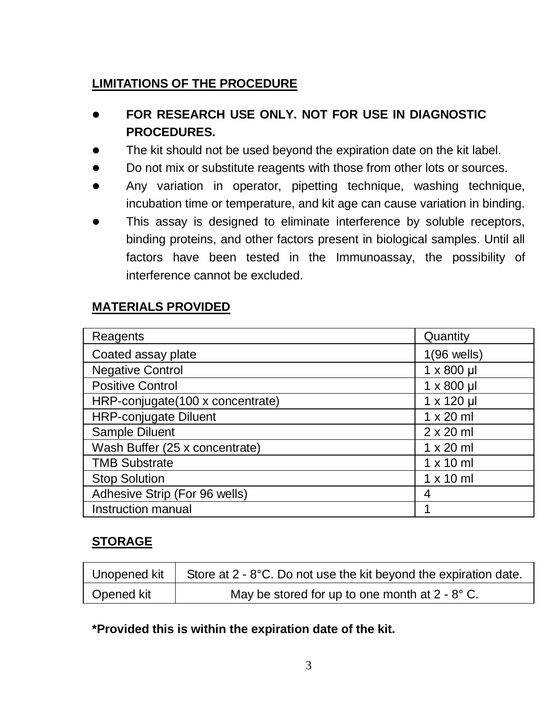# **LIMITATIONS OF THE PROCEDURE**

- **FOR RESEARCH USE ONLY. NOT FOR USE IN DIAGNOSTIC PROCEDURES.**
- The kit should not be used beyond the expiration date on the kit label.
- Do not mix or substitute reagents with those from other lots or sources.
- Any variation in operator, pipetting technique, washing technique, incubation time or temperature, and kit age can cause variation in binding.
- This assay is designed to eliminate interference by soluble receptors, binding proteins, and other factors present in biological samples. Until all factors have been tested in the Immunoassay, the possibility of interference cannot be excluded.

## **MATERIALS PROVIDED**

| Reagents                         | Quantity          |
|----------------------------------|-------------------|
| Coated assay plate               | $1(96$ wells)     |
| <b>Negative Control</b>          | $1 \times 800$ µl |
| <b>Positive Control</b>          | $1 \times 800$ µl |
| HRP-conjugate(100 x concentrate) | 1 x 120 µl        |
| <b>HRP-conjugate Diluent</b>     | $1 \times 20$ ml  |
| Sample Diluent                   | $2 \times 20$ ml  |
| Wash Buffer (25 x concentrate)   | $1 \times 20$ ml  |
| <b>TMB Substrate</b>             | $1 \times 10$ ml  |
| <b>Stop Solution</b>             | $1 \times 10$ ml  |
| Adhesive Strip (For 96 wells)    | 4                 |
| Instruction manual               |                   |

#### **STORAGE**

| Unopened kit . | Store at 2 - 8°C. Do not use the kit beyond the expiration date. |
|----------------|------------------------------------------------------------------|
| Opened kit     | May be stored for up to one month at $2 - 8^\circ$ C.            |

**\*Provided this is within the expiration date of the kit.**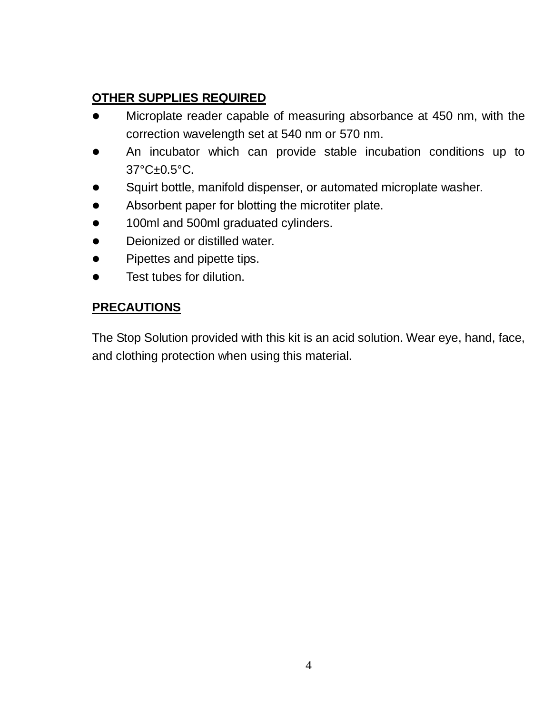## **OTHER SUPPLIES REQUIRED**

- Microplate reader capable of measuring absorbance at 450 nm, with the correction wavelength set at 540 nm or 570 nm.
- An incubator which can provide stable incubation conditions up to 37°C±0.5°C.
- Squirt bottle, manifold dispenser, or automated microplate washer.
- Absorbent paper for blotting the microtiter plate.
- **.** 100ml and 500ml graduated cylinders.
- **•** Deionized or distilled water.
- Pipettes and pipette tips.
- **•** Test tubes for dilution.

## **PRECAUTIONS**

The Stop Solution provided with this kit is an acid solution. Wear eye, hand, face, and clothing protection when using this material.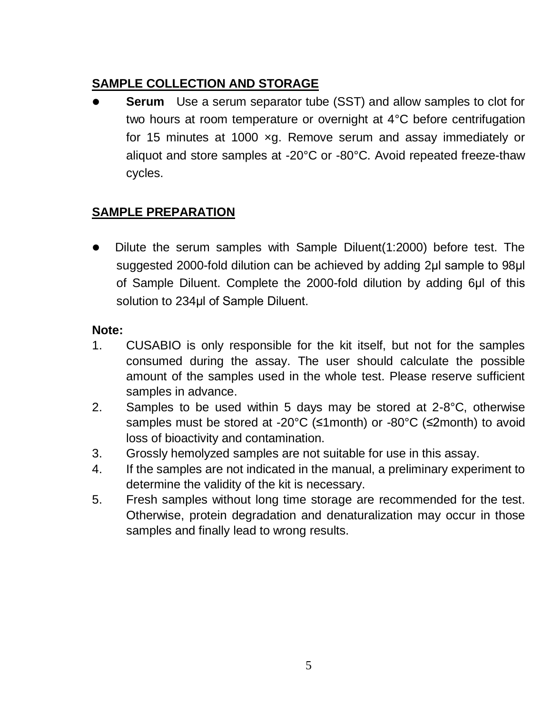## **SAMPLE COLLECTION AND STORAGE**

 **Serum** Use a serum separator tube (SST) and allow samples to clot for two hours at room temperature or overnight at 4°C before centrifugation for 15 minutes at 1000 ×g. Remove serum and assay immediately or aliquot and store samples at -20°C or -80°C. Avoid repeated freeze-thaw cycles.

## **SAMPLE PREPARATION**

 Dilute the serum samples with Sample Diluent(1:2000) before test. The suggested 2000-fold dilution can be achieved by adding 2ul sample to 98ul of Sample Diluent. Complete the 2000-fold dilution by adding 6μl of this solution to 234μl of Sample Diluent.

#### **Note:**

- 1. CUSABIO is only responsible for the kit itself, but not for the samples consumed during the assay. The user should calculate the possible amount of the samples used in the whole test. Please reserve sufficient samples in advance.
- 2. Samples to be used within 5 days may be stored at  $2-8^{\circ}$ C, otherwise samples must be stored at -20°C (≤1month) or -80°C (≤2month) to avoid loss of bioactivity and contamination.
- 3. Grossly hemolyzed samples are not suitable for use in this assay.
- 4. If the samples are not indicated in the manual, a preliminary experiment to determine the validity of the kit is necessary.
- 5. Fresh samples without long time storage are recommended for the test. Otherwise, protein degradation and denaturalization may occur in those samples and finally lead to wrong results.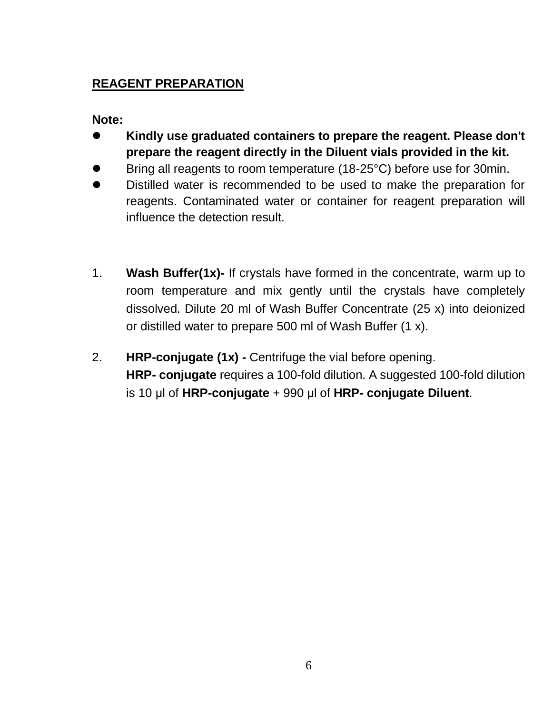# **REAGENT PREPARATION**

**Note:** 

- **Kindly use graduated containers to prepare the reagent. Please don't prepare the reagent directly in the Diluent vials provided in the kit.**
- Bring all reagents to room temperature (18-25°C) before use for 30min.
- Distilled water is recommended to be used to make the preparation for reagents. Contaminated water or container for reagent preparation will influence the detection result.
- 1. **Wash Buffer(1x)-** If crystals have formed in the concentrate, warm up to room temperature and mix gently until the crystals have completely dissolved. Dilute 20 ml of Wash Buffer Concentrate (25 x) into deionized or distilled water to prepare 500 ml of Wash Buffer (1 x).
- 2. **HRP-conjugate (1x) -** Centrifuge the vial before opening. **HRP- conjugate** requires a 100-fold dilution. A suggested 100-fold dilution is 10 μl of **HRP-conjugate** + 990 μl of **HRP- conjugate Diluent**.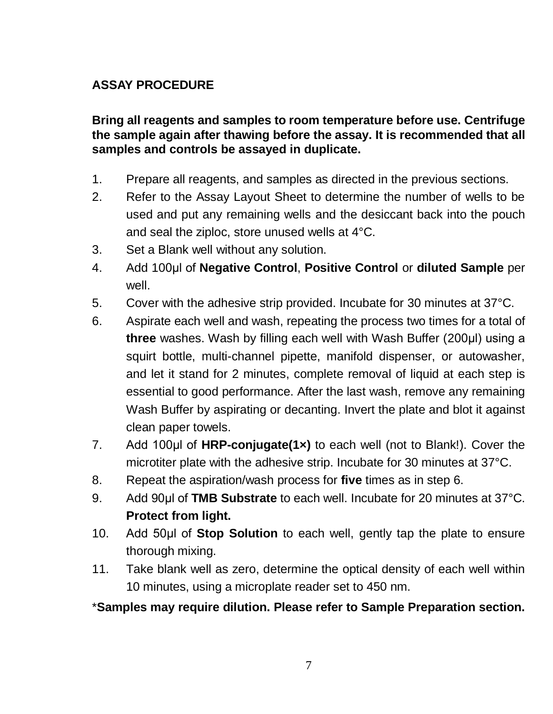## **ASSAY PROCEDURE**

**Bring all reagents and samples to room temperature before use. Centrifuge the sample again after thawing before the assay. It is recommended that all samples and controls be assayed in duplicate.** 

- 1. Prepare all reagents, and samples as directed in the previous sections.
- 2. Refer to the Assay Layout Sheet to determine the number of wells to be used and put any remaining wells and the desiccant back into the pouch and seal the ziploc, store unused wells at 4°C.
- 3. Set a Blank well without any solution.
- 4. Add 100μl of **Negative Control**, **Positive Control** or **diluted Sample** per well.
- 5. Cover with the adhesive strip provided. Incubate for 30 minutes at 37°C.
- 6. Aspirate each well and wash, repeating the process two times for a total of **three** washes. Wash by filling each well with Wash Buffer (200μl) using a squirt bottle, multi-channel pipette, manifold dispenser, or autowasher, and let it stand for 2 minutes, complete removal of liquid at each step is essential to good performance. After the last wash, remove any remaining Wash Buffer by aspirating or decanting. Invert the plate and blot it against clean paper towels.
- 7. Add 100μl of **HRP-conjugate(1×)** to each well (not to Blank!). Cover the microtiter plate with the adhesive strip. Incubate for 30 minutes at 37°C.
- 8. Repeat the aspiration/wash process for **five** times as in step 6.
- 9. Add 90μl of **TMB Substrate** to each well. Incubate for 20 minutes at 37°C. **Protect from light.**
- 10. Add 50μl of **Stop Solution** to each well, gently tap the plate to ensure thorough mixing.
- 11. Take blank well as zero, determine the optical density of each well within 10 minutes, using a microplate reader set to 450 nm.

\***Samples may require dilution. Please refer to Sample Preparation section.**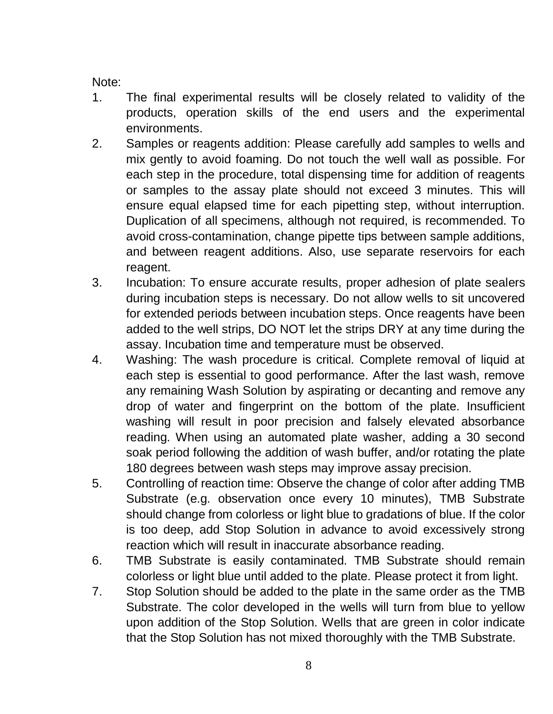Note:

- 1. The final experimental results will be closely related to validity of the products, operation skills of the end users and the experimental environments.
- 2. Samples or reagents addition: Please carefully add samples to wells and mix gently to avoid foaming. Do not touch the well wall as possible. For each step in the procedure, total dispensing time for addition of reagents or samples to the assay plate should not exceed 3 minutes. This will ensure equal elapsed time for each pipetting step, without interruption. Duplication of all specimens, although not required, is recommended. To avoid cross-contamination, change pipette tips between sample additions, and between reagent additions. Also, use separate reservoirs for each reagent.
- 3. Incubation: To ensure accurate results, proper adhesion of plate sealers during incubation steps is necessary. Do not allow wells to sit uncovered for extended periods between incubation steps. Once reagents have been added to the well strips, DO NOT let the strips DRY at any time during the assay. Incubation time and temperature must be observed.
- 4. Washing: The wash procedure is critical. Complete removal of liquid at each step is essential to good performance. After the last wash, remove any remaining Wash Solution by aspirating or decanting and remove any drop of water and fingerprint on the bottom of the plate. Insufficient washing will result in poor precision and falsely elevated absorbance reading. When using an automated plate washer, adding a 30 second soak period following the addition of wash buffer, and/or rotating the plate 180 degrees between wash steps may improve assay precision.
- 5. Controlling of reaction time: Observe the change of color after adding TMB Substrate (e.g. observation once every 10 minutes), TMB Substrate should change from colorless or light blue to gradations of blue. If the color is too deep, add Stop Solution in advance to avoid excessively strong reaction which will result in inaccurate absorbance reading.
- 6. TMB Substrate is easily contaminated. TMB Substrate should remain colorless or light blue until added to the plate. Please protect it from light.
- 7. Stop Solution should be added to the plate in the same order as the TMB Substrate. The color developed in the wells will turn from blue to yellow upon addition of the Stop Solution. Wells that are green in color indicate that the Stop Solution has not mixed thoroughly with the TMB Substrate.